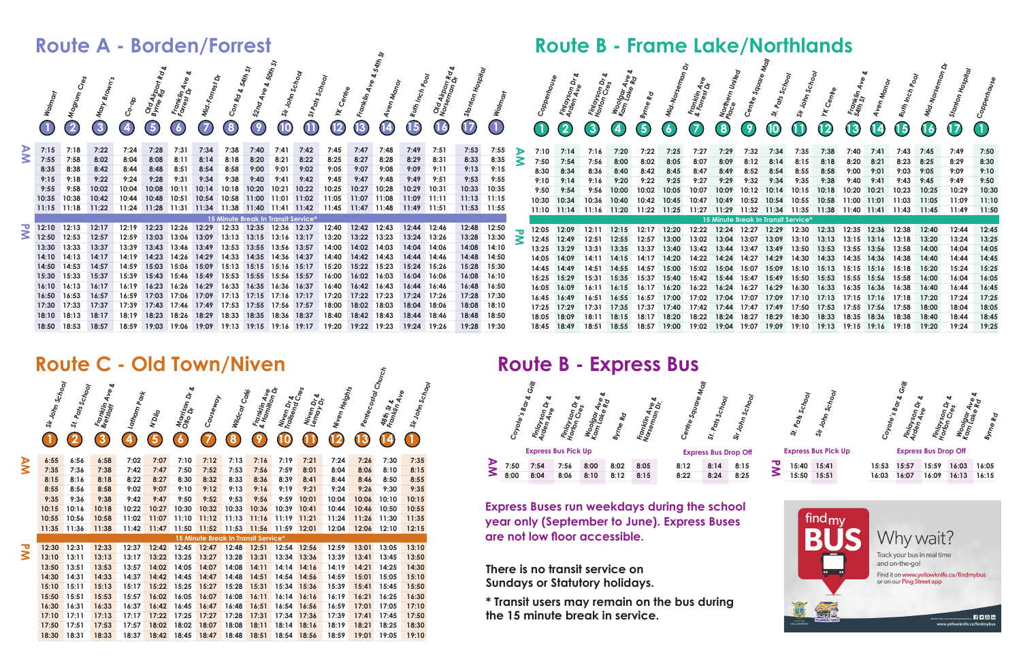**Express Buses run weekdays during the school year only (September to June). Express Buses are not low floor accessible.**

|    |                 |                 | <b>Route C - Old Town/Niven</b>           |                          |        |                                        |          |                                     |                                                                    |                                              |                          |                              |                     |                                                     |                  |
|----|-----------------|-----------------|-------------------------------------------|--------------------------|--------|----------------------------------------|----------|-------------------------------------|--------------------------------------------------------------------|----------------------------------------------|--------------------------|------------------------------|---------------------|-----------------------------------------------------|------------------|
|    | Sir John School | St. Pats School | ಳ<br><b>Franklin Ave</b><br>Bretzlaff Ave | I <sup>Latham Park</sup> | N'Dilo | Morrison<br>Otto Dr <sup>on Dr</sup> & | Causeway | Wildcot Cores                       | Franklin<br><sup>&amp; Hamilin</sup> Ave<br><sup>Mamilion Dr</sup> | Niven Dr &<br>Trailsendr &<br>Trailsend Cres | Niven Dr &<br>Lemay Dr & | ı Niven Heights              | Perriecostal Church | 48th st &<br>Franklin &<br><sup>Franklin Av</sup> e | Sir John School  |
|    |                 | $\overline{2}$  | 3                                         | $\boldsymbol{4}$         | 5      | $\boldsymbol{6}$                       |          | 8                                   | 9                                                                  | O                                            | L                        | $\overline{\mathbf{2}}$<br>U | $\boldsymbol{3}$    | (14)                                                | $\left(1\right)$ |
|    | 6:55            | 6:56            | 6:58                                      | 7:02                     | 7:07   | 7:10                                   | 7:12     | 7:13                                | 7:16                                                               | 7:19                                         | 7:21                     | 7:24                         | 7:26                | 7:30                                                | 7:35             |
| УV | 7:35            | 7:36            | 7:38                                      | 7:42                     | 7:47   | 7:50                                   | 7:52     | 7:53                                | 7:56                                                               | 7:59                                         | 8:01                     | 8:04                         | 8:06                | 8:10                                                | 8:15             |
|    | 8:15            | 8:16            | 8:18                                      | 8:22                     | 8:27   | 8:30                                   | 8:32     | 8:33                                | 8:36                                                               | 8:39                                         | 8:41                     | 8:44                         | 8:46                | 8:50                                                | 8:55             |
|    | 8:55            | 8:56            | 8:58                                      | 9:02                     | 9:07   | 9:10                                   | 9:12     | 9:13                                | 9:16                                                               | 9:19                                         | 9:21                     | 9:24                         | 9:26                | 9:30                                                | 9:35             |
|    | 9:35            | 9:36            | 9:38                                      | 9:42                     | 9:47   | 9:50                                   | 9:52     | 9:53                                | 9:56                                                               | 9:59                                         | 10:01                    | 10:04                        | 10:06               | 10:10                                               | 10:15            |
|    | 10:15           | 10:16           | 10:18                                     | 10:22                    | 10:27  | 10:30                                  | 10:32    | 10:33                               | 10:36                                                              | 10:39                                        | 10:41                    | 10:44                        | 10:46               | 10:50                                               | 10:55            |
|    | 10:55           | 10:56           | 10:58                                     | 11:02                    | 11:07  | 11:10                                  | 11:12    | 11:13                               | 11:16                                                              | 11:19                                        | 11:21                    | 11:24                        | 11:26               | 11:30                                               | 11:35            |
|    | 11:35           | 11:36           | 11:38                                     | 11:42                    | 11:47  | 11:50                                  | 11:52    | 11:53                               | 11:56                                                              | 11:59                                        | 12:01                    | 12:04                        | 12:06               | 12:10                                               | 12:15            |
|    |                 |                 |                                           |                          |        |                                        |          | 15 Minute Break In Transit Service* |                                                                    |                                              |                          |                              |                     |                                                     |                  |
| ত  | 12:30           | 12:31           | 12:33                                     | 12:37                    | 12:42  | 12:45                                  | 12:47    | 12:48                               | 12:51                                                              | 12:54                                        | 12:56                    | 12:59                        | 13:01               | 13:05                                               | 13:10            |
| Š  | 13:10           | 13:11           | 13:13                                     | 13:17                    | 13:22  | 13:25                                  | 13:27    | 13:28                               | 13:31                                                              | 13:34                                        | 13:36                    | 13:39                        | 13:41               | 13:45                                               | 13:50            |
|    | 13:50           | 13:51           | 13:53                                     | 13:57                    | 14:02  | 14:05                                  | 14:07    | 14:08                               | 14:11                                                              | 14:14                                        | 14:16                    | 14:19                        | 14:21               | 14:25                                               | 14:30            |
|    | 14:30           | 14:31           | 14:33                                     | 14:37                    | 14:42  | 14:45                                  | 14:47    | 14:48                               | 14:51                                                              | 14:54                                        | 14:56                    | 14:59                        | 15:01               | 15:05                                               | 15:10            |
|    | 15:10           | 15:11           | 15:13                                     | 15:17                    | 15:22  | 15:25                                  | 15:27    | 15:28                               | 15:31                                                              | 15:34                                        | 15:36                    | 15:39                        | 15:41               | 15:45                                               | 15:50            |
|    | 15:50           | 15:51           | 15:53                                     | 15:57                    | 16:02  | 16:05                                  | 16:07    | 16:08                               | 16:11                                                              | 16:14                                        | 16:16                    | 16:19                        | 16:21               | 16:25                                               | 16:30            |
|    | 16:30           | 16:31           | 16:33                                     | 16:37                    | 16:42  | 16:45                                  | 16:47    | 16:48                               | 16:51                                                              | 16:54                                        | 16:56                    | 16:59                        | 17:01               | 17:05                                               | 17:10            |
|    | 17:10           | 17:11           | 17:13                                     | 17:17                    | 17:22  | 17:25                                  | 17:27    | 17:28                               | 17:31                                                              | 17:34                                        | 17:36                    | 17:39                        | 17:41               | 17:45                                               | 17:50            |
|    | 17:50           | 17:51           | 17:53                                     | 17:57                    | 18:02  | 18:02                                  | 18:07    | 18:08                               | 18:11                                                              | 18:14                                        | 18:16                    | 18:19                        | 18:21               | 18:25                                               | 18:30            |
|    | 18:30           | 18:31           | 18:33                                     | 18:37                    | 18:42  | 18:45                                  | 18:47    | 18:48                               | 18:51                                                              | 18:54                                        | 18:56                    | 18:59                        | 19:01               | 19:05                                               | 19:10            |

|                              |           |       | <b>Route A - Borden/Forrest</b> |                  |                            |                                                                      |             |                                           |             |                 |                            |                |                            |                    |             |           |            |             |   |              |                                                 |                                      |                             |             |              | <b>Route B - Frame Lake/Northlands</b>           |       |                                           |                          |              |                   |                                            |                          |                          |                          |                          |           |
|------------------------------|-----------|-------|---------------------------------|------------------|----------------------------|----------------------------------------------------------------------|-------------|-------------------------------------------|-------------|-----------------|----------------------------|----------------|----------------------------|--------------------|-------------|-----------|------------|-------------|---|--------------|-------------------------------------------------|--------------------------------------|-----------------------------|-------------|--------------|--------------------------------------------------|-------|-------------------------------------------|--------------------------|--------------|-------------------|--------------------------------------------|--------------------------|--------------------------|--------------------------|--------------------------|-----------|
|                              | $\bigcap$ | (2)   | $\left( 3 \right)$              | $\boldsymbol{A}$ | Old Airpr<br>Byrne Rd<br>6 | Franklin,<br>Forrest Dr.<br>$\left( \frac{\delta}{\epsilon} \right)$ | (7)         | $\left( 8\right)$                         | (9)         | $\overline{10}$ | $\textcircled{\textsf{n}}$ | (12)           | $\boldsymbol{\mathsf{13}}$ | $\left( 14\right)$ | $\bigodot$  | ०ँई<br>16 | $\bigodot$ | $\bigcirc$  |   | <b>CD</b>    | Finlayson<br>Arden Ave <sup>U</sup><br>$\bf(2)$ | Finlayson<br>Honton Cres<br>$\bf(3)$ | Woolgar Ave<br>Kam lake Ade | (5)         | $\mathbf{6}$ | Franklin<br>& Fonest Ave<br><sup>Ronest</sup> Dr | (8)   | (9)                                       | $\overline{\mathbf{10}}$ | $\mathbf{G}$ | $\overline{12}$   | Fromklin<br>Sath St<br>$\bf \overline{13}$ | $\mathbf{\overline{14}}$ | $\overline{\mathbf{15}}$ | $\mathbf{\overline{16}}$ | $\overline{\mathbf{17}}$ | $\bigcap$ |
| ŠΡ                           | 7:15      |       | 7:22                            |                  |                            |                                                                      |             |                                           |             | 7:41            | 7:42                       | 7:45           | 7:47                       |                    | 7:49        | 7:51      | 7:53       | 7:55        |   |              |                                                 |                                      |                             |             |              |                                                  |       |                                           |                          |              |                   |                                            |                          |                          |                          |                          | 7:50      |
|                              | 7:55      | 7:58  | 8:02                            |                  |                            | 8:11                                                                 | 8:14        | 8:18                                      | 8:20        | 8:21            | 8:22                       | 8:25           | 8:27                       | 8:28               | 8:29        | 8:31      | 8:33       | 8:35        | ⋜ | 7:50         | 7:54                                            |                                      |                             |             |              |                                                  |       |                                           |                          |              |                   |                                            |                          | 8:23                     | 8:25                     | 8:29                     | 8:30      |
|                              | 8:35      | 8:38  | 8:42                            | 8:44             | 8:48                       | 8:51                                                                 | 8:54        | 8:58                                      | 9:00        | 9:01            | 9:02                       | 9:05           | 9:07                       | 9:08               | 9:09        | 9:11      | 9:13       | 9:15        |   | 8:30         | 8:34                                            |                                      |                             |             |              |                                                  |       |                                           | 8:54                     |              |                   |                                            |                          | 9:03                     | 9:05                     | 9:09                     | 9:10      |
|                              |           |       | 9:22                            | 9:24             | 9:28                       | 9:31                                                                 | 9:34        | 9:38                                      | 9:40        | 9:41            | 9:42                       | 9:45           |                            |                    | 9:49        | 9:51      | 9:53       | 9:55        |   | 9:10         | 9:14                                            |                                      |                             | 9:22        |              | 9:27                                             |       | 9:32                                      | 9:34                     | 9:35         |                   |                                            |                          | 9:43                     |                          | 9:49                     | 9:50      |
|                              |           | 9:58  |                                 |                  |                            |                                                                      | 10:14       | 10:18                                     | 10:20       | 10:21           | 10:22                      | 10:25          | 10:27                      |                    | 10:29       | 10:31     | 10:33      | 10:35       |   | 9:50         | 9:54                                            |                                      |                             |             | 10:05        |                                                  |       |                                           |                          |              |                   | 10:20                                      | 10:21                    | 10:23                    | 10:25                    | 10:29                    | 10:30     |
|                              | 10:35     | 10:38 |                                 |                  |                            | 10:51                                                                |             | 10:58                                     | 11:00       | 11:01           | 11:02                      | 11:05          | 11:07                      |                    |             | 11:11     | 11:13      | 11:15       |   | 10:30        | 10:34                                           |                                      | 10:40                       |             |              |                                                  |       | 10:52                                     | 10:54                    | 10:55        | 10:58             | 11:00                                      |                          | 11:03                    |                          | 11:09                    | 11:10     |
|                              | 11:15     |       |                                 | 11:24            | 11:28                      | 11:31                                                                |             |                                           | 11:40       | 11:41           | 11:42                      | 11:45          |                            |                    | 11:49 11:51 |           |            | 11:53 11:55 |   |              |                                                 | 11:10 11:14 11:16 11:20              |                             | 11:22 11:25 |              | 11:27                                            |       | 11:29 11:32 11:34 11:35 11:38 11:40 11:41 |                          |              |                   |                                            |                          | 11:43                    | 11:45                    | 11:49                    | 11:50     |
|                              |           |       |                                 |                  |                            |                                                                      |             | 15 Minute Break In Transit Service*       |             |                 |                            |                |                            |                    |             |           |            |             |   |              |                                                 |                                      |                             |             |              |                                                  |       | 15 Minute Break In Transit Service*       |                          |              |                   |                                            |                          |                          |                          |                          |           |
| $\overline{\mathbf{v}}$<br>3 | 12:10     | 12:13 | 12:17                           |                  |                            | 12:26                                                                | 12:29       | 12:33                                     | 12:35       | 12:36           | 12:37                      | 12:40          | 12:42                      |                    | 12:44 12:46 |           | 12:48      | 12:50       |   |              | 12:05 12:09                                     |                                      | 12:15                       | 12:17       | 12:20        | 12:22 12:24                                      |       | 12:27                                     | 12:29                    | 12:30        | 12:33             | 12:35 12:36                                |                          | 12:38                    |                          | 12:44                    | 12:45     |
|                              | 12:50     | 12:53 |                                 |                  |                            |                                                                      |             | 13:13                                     | 13:15       | 13:16           | 13:17                      |                | 13:22                      |                    | 13:24 13:26 |           | 13:28      | 13:30       |   | $\geq$ 12:45 | 12:49                                           |                                      |                             |             |              |                                                  | 13:04 | 13:07                                     | 13:09                    |              |                   | 13:15 13:16                                |                          | 13:18                    | 13:20                    | 13:24                    | 13:25     |
|                              | 13:30     | 13:33 | 13:37                           | 13:39            | 13:43                      | 13:46                                                                | 13:49       | 13:53                                     | 13:55       | 13:56           | 13:57                      |                |                            |                    | 14:04       | 14:06     | 14:08      | 14:10       |   | 13:25        | 13:29                                           |                                      |                             |             | 13:40        |                                                  | 13:44 |                                           | 13:49                    | 13:50        | 13:53             | 13:55                                      | 13:56                    | 13:58                    | 14:00                    | 14:04                    | 14:05     |
|                              | 14:10     | 14:13 | 14:17                           | 14:19            | 14:23                      | 14:26                                                                | 14:29       | 14:33                                     | 14:35       | 14:36           | 14:37                      | 14:40          |                            |                    | 14:44       | 14:46     | 14:48      | 14:50       |   |              | 14:05 14:09                                     |                                      |                             |             |              | 14:22                                            |       | 14:27                                     | 14:29                    | 14:30        | 14:33             | 14:35 14:36                                |                          | 14:38                    | 14:40                    | 14:44                    | 14:45     |
|                              | 14:50     | 14:53 | 14:57                           | 14:59            | 15:03                      | <b>15:06</b>                                                         | 15:09       |                                           | 15:13 15:15 | $15:16$ 15:17   |                            | 15:20          | 15:22                      | 15:23              | 15:24 15:26 |           | 15:28      | 15:30       |   | 14:45        | 14:49                                           |                                      |                             |             | 15:00        |                                                  | 15:04 | 15:07                                     | 15:09                    | 15:10        | 15:13             | 15:15                                      | 15:16                    | 15:18                    | 15:20                    | 15:24                    | 15:25     |
|                              | 15:30     | 15:33 | 15:37                           | 15:39            | 15:43                      | 15:46                                                                | 15:49       | 15:53                                     | 15:55       | 15:56           | 15:57                      | 16:00          | 16:02                      |                    | 16:04       | 16:06     | 16:08      | 16:10       |   |              |                                                 |                                      |                             |             |              |                                                  |       |                                           |                          | 15:50        |                   | 15:55                                      |                          | 15:58                    | 16:00                    | 16:04                    | 16:05     |
|                              |           |       |                                 |                  | 16:23                      | 16:26                                                                |             |                                           |             |                 |                            |                |                            |                    | 16:44       | 16:46     | 16:48      | 16:50       |   | 16:05        |                                                 |                                      |                             |             |              |                                                  |       |                                           |                          |              |                   | 16:35                                      |                          |                          | 16:40                    | 16:44                    | 16:45     |
|                              |           | 16:53 | 16:57                           | 16:59            | 17:03                      | 17:06                                                                | 17:09       | 17:13                                     | 17:15       |                 | 17:17                      |                |                            |                    | 17:24 17:26 |           | 17:28      | 17:30       |   | 16:45        | 16:49                                           |                                      |                             |             |              |                                                  |       |                                           |                          |              |                   |                                            |                          | 17:18                    | 17:20                    | 17:24                    | 17:25     |
|                              | 17:30     | 17:33 | 17:37                           | 17:39            | 17:43<br>18:23             | 18:26                                                                | 17:46 17:49 | 17:53                                     | 17:55       | 17:56           | 17:57                      | 18:00<br>18:40 | 18:02                      | 18:03              | 18:04       | 18:06     | 18:08      | 18:10       |   | 17:25        | 17:29                                           |                                      |                             |             |              |                                                  |       |                                           | 17:49                    | 17:50        |                   | 17:55                                      | 17:56                    | 17:58                    | 18:00                    | 18:04                    | 18:05     |
|                              |           | 18:13 | 18:17                           | 18:19            |                            |                                                                      |             | 18:29 18:33                               | 18:35       | 18:36           | 18:37                      |                | 18:42                      | 18:43              | 18:44       | ∣ 18:46   | 18:48      | 18:50       |   | 18:05        |                                                 |                                      |                             |             |              |                                                  |       |                                           | 18:29                    | 18:30        | 18:33             | 18:35                                      | 18:36                    | 18:38                    | 18:40                    | 18:44                    | 18:45     |
|                              |           | 18:53 | 18:57                           | 18:59            |                            |                                                                      |             | 19:03 19:06 19:09 19:13 19:15 19:16 19:17 |             |                 |                            | 19:20          | 19:22                      | 19:23              | 19:24 19:26 |           | 19:28      | 19:30       |   |              | 18:49                                           | 18:51                                | 18:55                       | 18:57       | 19:00        | 19:02                                            | 19:04 | 19:07                                     | 19:09                    | 19:10        | 19:13 19:15 19:16 |                                            |                          | 19:18                    | 19:20                    | 19:24                    | 19:25     |

**There is no transit service on Sundays or Statutory holidays.**

**\* Transit users may remain on the bus during the 15 minute break in service.** 





| п. | 15:40 | 15:41 |
|----|-------|-------|
|    | 15:50 | 15:51 |



**Express Bus Drop Off** 



| $15:53$ $15:57$ |  | $15:59$ $16:03$ $16:05$ |  |
|-----------------|--|-------------------------|--|
| $16:03$ $16:07$ |  | $16:09$ $16:13$ $16:15$ |  |
|                 |  |                         |  |